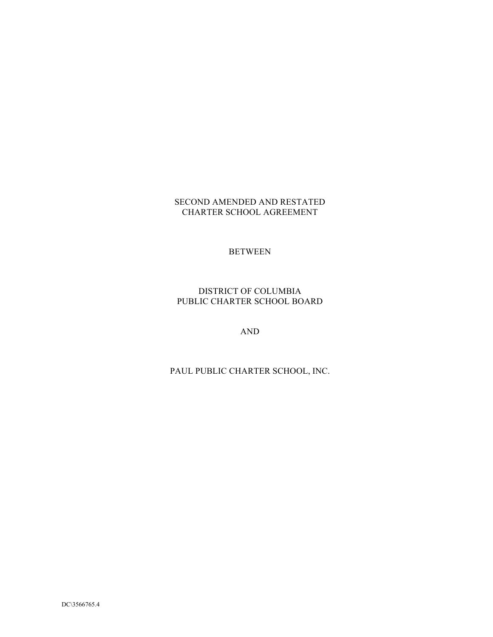#### SECOND AMENDED AND RESTATED CHARTER SCHOOL AGREEMENT

# BETWEEN

## DISTRICT OF COLUMBIA PUBLIC CHARTER SCHOOL BOARD

AND

# PAUL PUBLIC CHARTER SCHOOL, INC.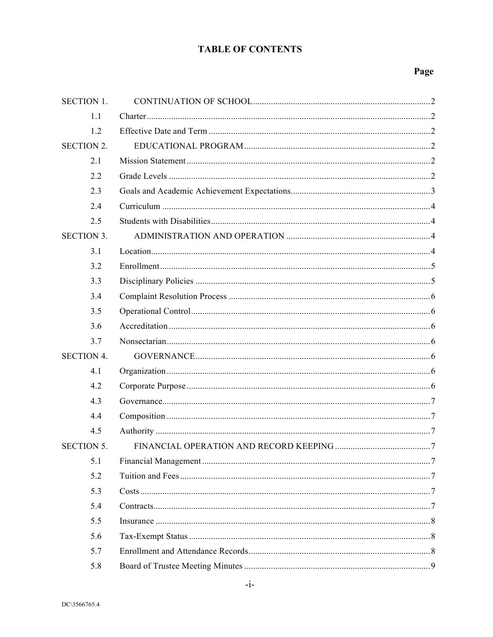# **TABLE OF CONTENTS**

# Page

| <b>SECTION 1.</b> |  |
|-------------------|--|
| 1.1               |  |
| 1.2               |  |
| <b>SECTION 2.</b> |  |
| 2.1               |  |
| 2.2               |  |
| 2.3               |  |
| 2.4               |  |
| 2.5               |  |
| <b>SECTION 3.</b> |  |
| 3.1               |  |
| 3.2               |  |
| 3.3               |  |
| 3.4               |  |
| 3.5               |  |
| 3.6               |  |
| 3.7               |  |
| <b>SECTION 4.</b> |  |
| 4.1               |  |
| 4.2               |  |
| 4.3               |  |
| 4.4               |  |
| 4.5               |  |
| <b>SECTION 5.</b> |  |
| 5.1               |  |
| 5.2               |  |
| 5.3               |  |
| 5.4               |  |
| 5.5               |  |
| 5.6               |  |
| 5.7               |  |
| 5.8               |  |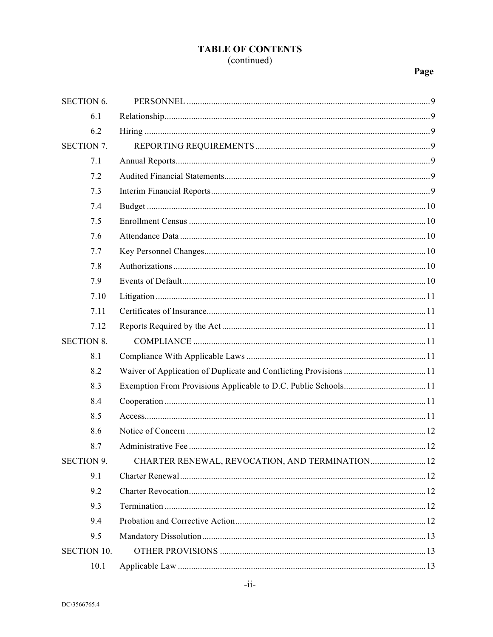# **TABLE OF CONTENTS** (continued)

# Page

| <b>SECTION 6.</b>  |                                                 |  |
|--------------------|-------------------------------------------------|--|
| 6.1                |                                                 |  |
| 6.2                |                                                 |  |
| <b>SECTION 7.</b>  |                                                 |  |
| 7.1                |                                                 |  |
| 7.2                |                                                 |  |
| 7.3                |                                                 |  |
| 7.4                |                                                 |  |
| 7.5                |                                                 |  |
| 7.6                |                                                 |  |
| 7.7                |                                                 |  |
| 7.8                |                                                 |  |
| 7.9                |                                                 |  |
| 7.10               |                                                 |  |
| 7.11               |                                                 |  |
| 7.12               |                                                 |  |
| <b>SECTION 8.</b>  |                                                 |  |
| 8.1                |                                                 |  |
| 8.2                |                                                 |  |
| 8.3                |                                                 |  |
| 8.4                |                                                 |  |
| 8.5                |                                                 |  |
| 8.6                |                                                 |  |
| 8.7                |                                                 |  |
| <b>SECTION 9.</b>  | CHARTER RENEWAL, REVOCATION, AND TERMINATION 12 |  |
| 9.1                |                                                 |  |
| 9.2                |                                                 |  |
| 9.3                |                                                 |  |
| 9.4                |                                                 |  |
| 9.5                |                                                 |  |
| <b>SECTION 10.</b> |                                                 |  |
| 10.1               |                                                 |  |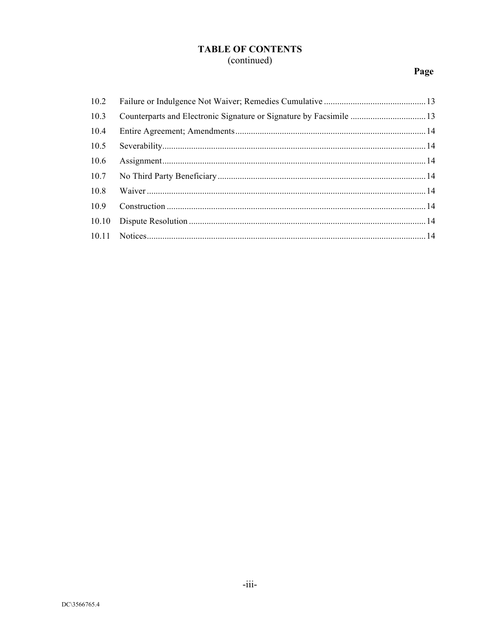# **TABLE OF CONTENTS**

# (continued)

# Page

| 10.2  |  |
|-------|--|
| 10.3  |  |
| 10.4  |  |
| 10.5  |  |
| 10.6  |  |
| 10.7  |  |
| 10.8  |  |
| 10.9  |  |
| 10.10 |  |
|       |  |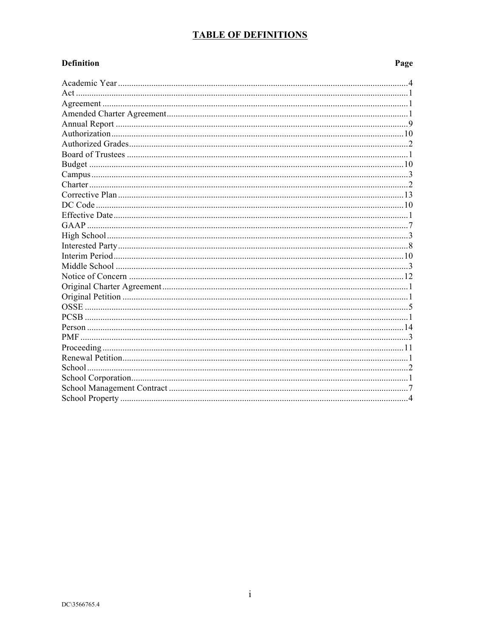# **TABLE OF DEFINITIONS**

#### **Definition** Page PCSB and the contract of the contract of the contract of the contract of the contract of the contract of the contract of the contract of the contract of the contract of the contract of the contract of the contract of the c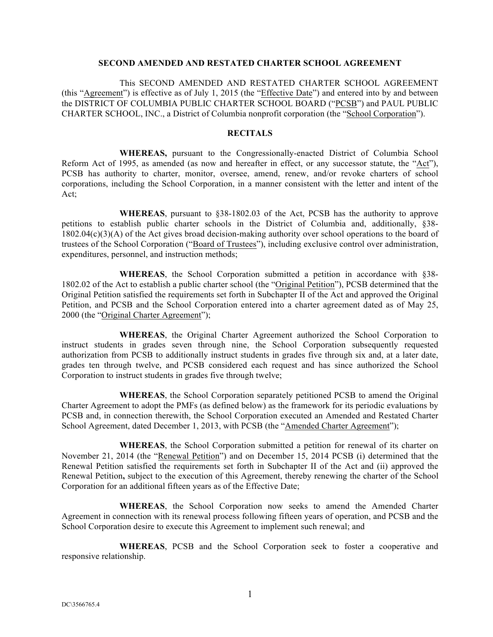#### **SECOND AMENDED AND RESTATED CHARTER SCHOOL AGREEMENT**

This SECOND AMENDED AND RESTATED CHARTER SCHOOL AGREEMENT (this "Agreement") is effective as of July 1, 2015 (the "Effective Date") and entered into by and between the DISTRICT OF COLUMBIA PUBLIC CHARTER SCHOOL BOARD ("PCSB") and PAUL PUBLIC CHARTER SCHOOL, INC., a District of Columbia nonprofit corporation (the "School Corporation").

#### **RECITALS**

**WHEREAS,** pursuant to the Congressionally-enacted District of Columbia School Reform Act of 1995, as amended (as now and hereafter in effect, or any successor statute, the "Act"), PCSB has authority to charter, monitor, oversee, amend, renew, and/or revoke charters of school corporations, including the School Corporation, in a manner consistent with the letter and intent of the Act;

**WHEREAS**, pursuant to §38-1802.03 of the Act, PCSB has the authority to approve petitions to establish public charter schools in the District of Columbia and, additionally, §38- 1802.04(c)(3)(A) of the Act gives broad decision-making authority over school operations to the board of trustees of the School Corporation ("Board of Trustees"), including exclusive control over administration, expenditures, personnel, and instruction methods;

**WHEREAS**, the School Corporation submitted a petition in accordance with §38- 1802.02 of the Act to establish a public charter school (the "Original Petition"), PCSB determined that the Original Petition satisfied the requirements set forth in Subchapter II of the Act and approved the Original Petition, and PCSB and the School Corporation entered into a charter agreement dated as of May 25, 2000 (the "Original Charter Agreement");

**WHEREAS**, the Original Charter Agreement authorized the School Corporation to instruct students in grades seven through nine, the School Corporation subsequently requested authorization from PCSB to additionally instruct students in grades five through six and, at a later date, grades ten through twelve, and PCSB considered each request and has since authorized the School Corporation to instruct students in grades five through twelve;

**WHEREAS**, the School Corporation separately petitioned PCSB to amend the Original Charter Agreement to adopt the PMFs (as defined below) as the framework for its periodic evaluations by PCSB and, in connection therewith, the School Corporation executed an Amended and Restated Charter School Agreement, dated December 1, 2013, with PCSB (the "Amended Charter Agreement");

**WHEREAS**, the School Corporation submitted a petition for renewal of its charter on November 21, 2014 (the "Renewal Petition") and on December 15, 2014 PCSB (i) determined that the Renewal Petition satisfied the requirements set forth in Subchapter II of the Act and (ii) approved the Renewal Petition**,** subject to the execution of this Agreement, thereby renewing the charter of the School Corporation for an additional fifteen years as of the Effective Date;

**WHEREAS**, the School Corporation now seeks to amend the Amended Charter Agreement in connection with its renewal process following fifteen years of operation, and PCSB and the School Corporation desire to execute this Agreement to implement such renewal; and

**WHEREAS**, PCSB and the School Corporation seek to foster a cooperative and responsive relationship.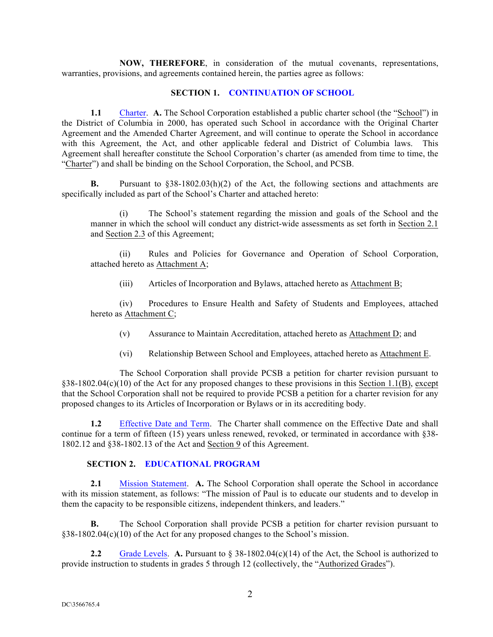**NOW, THEREFORE**, in consideration of the mutual covenants, representations, warranties, provisions, and agreements contained herein, the parties agree as follows:

#### **SECTION 1. CONTINUATION OF SCHOOL**

**1.1** Charter. **A.** The School Corporation established a public charter school (the "School") in the District of Columbia in 2000, has operated such School in accordance with the Original Charter Agreement and the Amended Charter Agreement, and will continue to operate the School in accordance with this Agreement, the Act, and other applicable federal and District of Columbia laws. This Agreement shall hereafter constitute the School Corporation's charter (as amended from time to time, the "Charter") and shall be binding on the School Corporation, the School, and PCSB.

**B.** Pursuant to §38-1802.03(h)(2) of the Act, the following sections and attachments are specifically included as part of the School's Charter and attached hereto:

(i) The School's statement regarding the mission and goals of the School and the manner in which the school will conduct any district-wide assessments as set forth in Section 2.1 and Section 2.3 of this Agreement;

(ii) Rules and Policies for Governance and Operation of School Corporation, attached hereto as Attachment A;

(iii) Articles of Incorporation and Bylaws, attached hereto as Attachment B;

(iv) Procedures to Ensure Health and Safety of Students and Employees, attached hereto as Attachment C;

- (v) Assurance to Maintain Accreditation, attached hereto as Attachment D; and
- (vi) Relationship Between School and Employees, attached hereto as Attachment E.

The School Corporation shall provide PCSB a petition for charter revision pursuant to §38-1802.04(c)(10) of the Act for any proposed changes to these provisions in this Section 1.1(B), except that the School Corporation shall not be required to provide PCSB a petition for a charter revision for any proposed changes to its Articles of Incorporation or Bylaws or in its accrediting body.

**1.2** Effective Date and Term. The Charter shall commence on the Effective Date and shall continue for a term of fifteen (15) years unless renewed, revoked, or terminated in accordance with §38- 1802.12 and §38-1802.13 of the Act and Section 9 of this Agreement.

#### **SECTION 2. EDUCATIONAL PROGRAM**

**2.1** Mission Statement. **A.** The School Corporation shall operate the School in accordance with its mission statement, as follows: "The mission of Paul is to educate our students and to develop in them the capacity to be responsible citizens, independent thinkers, and leaders."

**B.** The School Corporation shall provide PCSB a petition for charter revision pursuant to §38-1802.04(c)(10) of the Act for any proposed changes to the School's mission.

**2.2** Grade Levels. **A.** Pursuant to § 38-1802.04(c)(14) of the Act, the School is authorized to provide instruction to students in grades 5 through 12 (collectively, the "Authorized Grades").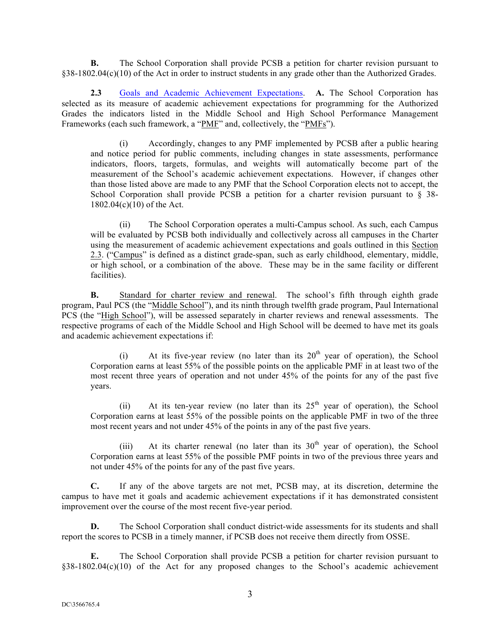**B.** The School Corporation shall provide PCSB a petition for charter revision pursuant to §38-1802.04(c)(10) of the Act in order to instruct students in any grade other than the Authorized Grades.

**2.3** Goals and Academic Achievement Expectations. **A.** The School Corporation has selected as its measure of academic achievement expectations for programming for the Authorized Grades the indicators listed in the Middle School and High School Performance Management Frameworks (each such framework, a "PMF" and, collectively, the "PMFs").

(i) Accordingly, changes to any PMF implemented by PCSB after a public hearing and notice period for public comments, including changes in state assessments, performance indicators, floors, targets, formulas, and weights will automatically become part of the measurement of the School's academic achievement expectations. However, if changes other than those listed above are made to any PMF that the School Corporation elects not to accept, the School Corporation shall provide PCSB a petition for a charter revision pursuant to § 38-1802.04(c)(10) of the Act.

(ii) The School Corporation operates a multi-Campus school. As such, each Campus will be evaluated by PCSB both individually and collectively across all campuses in the Charter using the measurement of academic achievement expectations and goals outlined in this Section 2.3. ("Campus" is defined as a distinct grade-span, such as early childhood, elementary, middle, or high school, or a combination of the above. These may be in the same facility or different facilities).

**B.** Standard for charter review and renewal. The school's fifth through eighth grade program, Paul PCS (the "Middle School"), and its ninth through twelfth grade program, Paul International PCS (the "High School"), will be assessed separately in charter reviews and renewal assessments. The respective programs of each of the Middle School and High School will be deemed to have met its goals and academic achievement expectations if:

(i) At its five-year review (no later than its  $20<sup>th</sup>$  year of operation), the School Corporation earns at least 55% of the possible points on the applicable PMF in at least two of the most recent three years of operation and not under 45% of the points for any of the past five years.

(ii) At its ten-year review (no later than its  $25<sup>th</sup>$  year of operation), the School Corporation earns at least 55% of the possible points on the applicable PMF in two of the three most recent years and not under 45% of the points in any of the past five years.

(iii) At its charter renewal (no later than its  $30<sup>th</sup>$  year of operation), the School Corporation earns at least 55% of the possible PMF points in two of the previous three years and not under 45% of the points for any of the past five years.

**C.** If any of the above targets are not met, PCSB may, at its discretion, determine the campus to have met it goals and academic achievement expectations if it has demonstrated consistent improvement over the course of the most recent five-year period.

**D.** The School Corporation shall conduct district-wide assessments for its students and shall report the scores to PCSB in a timely manner, if PCSB does not receive them directly from OSSE.

**E.** The School Corporation shall provide PCSB a petition for charter revision pursuant to §38-1802.04(c)(10) of the Act for any proposed changes to the School's academic achievement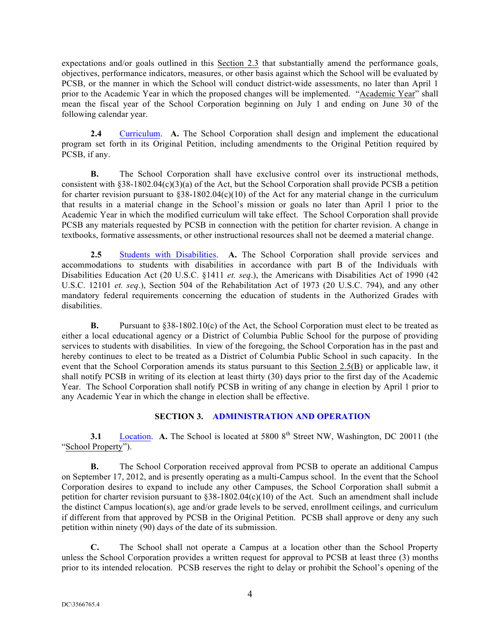expectations and/or goals outlined in this Section 2.3 that substantially amend the performance goals, objectives, performance indicators, measures, or other basis against which the School will be evaluated by PCSB, or the manner in which the School will conduct district-wide assessments, no later than April 1 prior to the Academic Year in which the proposed changes will be implemented. "Academic Year" shall mean the fiscal year of the School Corporation beginning on July 1 and ending on June 30 of the following calendar year.

**2.4** Curriculum. **A.** The School Corporation shall design and implement the educational program set forth in its Original Petition, including amendments to the Original Petition required by PCSB, if any.

**B.** The School Corporation shall have exclusive control over its instructional methods, consistent with  $§38-1802.04(c)(3)(a)$  of the Act, but the School Corporation shall provide PCSB a petition for charter revision pursuant to  $§38-1802.04(c)(10)$  of the Act for any material change in the curriculum that results in a material change in the School's mission or goals no later than April 1 prior to the Academic Year in which the modified curriculum will take effect. The School Corporation shall provide PCSB any materials requested by PCSB in connection with the petition for charter revision. A change in textbooks, formative assessments, or other instructional resources shall not be deemed a material change.

**2.5** Students with Disabilities. **A.** The School Corporation shall provide services and accommodations to students with disabilities in accordance with part B of the Individuals with Disabilities Education Act (20 U.S.C. §1411 *et. seq*.), the Americans with Disabilities Act of 1990 (42 U.S.C. 12101 *et. seq*.), Section 504 of the Rehabilitation Act of 1973 (20 U.S.C. 794), and any other mandatory federal requirements concerning the education of students in the Authorized Grades with disabilities.

**B.** Pursuant to §38-1802.10(c) of the Act, the School Corporation must elect to be treated as either a local educational agency or a District of Columbia Public School for the purpose of providing services to students with disabilities. In view of the foregoing, the School Corporation has in the past and hereby continues to elect to be treated as a District of Columbia Public School in such capacity. In the event that the School Corporation amends its status pursuant to this Section 2.5(B) or applicable law, it shall notify PCSB in writing of its election at least thirty (30) days prior to the first day of the Academic Year. The School Corporation shall notify PCSB in writing of any change in election by April 1 prior to any Academic Year in which the change in election shall be effective.

## **SECTION 3. ADMINISTRATION AND OPERATION**

**3.1** Location. **A.** The School is located at 5800 8<sup>th</sup> Street NW, Washington, DC 20011 (the "School Property").

**B.** The School Corporation received approval from PCSB to operate an additional Campus on September 17, 2012, and is presently operating as a multi-Campus school. In the event that the School Corporation desires to expand to include any other Campuses, the School Corporation shall submit a petition for charter revision pursuant to  $\S 38-1802.04(c)(10)$  of the Act. Such an amendment shall include the distinct Campus location(s), age and/or grade levels to be served, enrollment ceilings, and curriculum if different from that approved by PCSB in the Original Petition. PCSB shall approve or deny any such petition within ninety (90) days of the date of its submission.

**C.** The School shall not operate a Campus at a location other than the School Property unless the School Corporation provides a written request for approval to PCSB at least three (3) months prior to its intended relocation. PCSB reserves the right to delay or prohibit the School's opening of the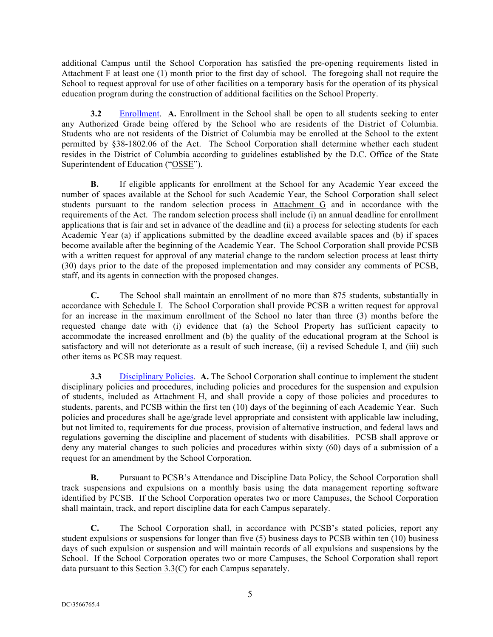additional Campus until the School Corporation has satisfied the pre-opening requirements listed in Attachment F at least one (1) month prior to the first day of school. The foregoing shall not require the School to request approval for use of other facilities on a temporary basis for the operation of its physical education program during the construction of additional facilities on the School Property.

**3.2** Enrollment. **A.** Enrollment in the School shall be open to all students seeking to enter any Authorized Grade being offered by the School who are residents of the District of Columbia. Students who are not residents of the District of Columbia may be enrolled at the School to the extent permitted by §38-1802.06 of the Act. The School Corporation shall determine whether each student resides in the District of Columbia according to guidelines established by the D.C. Office of the State Superintendent of Education ("OSSE").

**B.** If eligible applicants for enrollment at the School for any Academic Year exceed the number of spaces available at the School for such Academic Year, the School Corporation shall select students pursuant to the random selection process in Attachment G and in accordance with the requirements of the Act. The random selection process shall include (i) an annual deadline for enrollment applications that is fair and set in advance of the deadline and (ii) a process for selecting students for each Academic Year (a) if applications submitted by the deadline exceed available spaces and (b) if spaces become available after the beginning of the Academic Year. The School Corporation shall provide PCSB with a written request for approval of any material change to the random selection process at least thirty (30) days prior to the date of the proposed implementation and may consider any comments of PCSB, staff, and its agents in connection with the proposed changes.

**C.** The School shall maintain an enrollment of no more than 875 students, substantially in accordance with Schedule I. The School Corporation shall provide PCSB a written request for approval for an increase in the maximum enrollment of the School no later than three (3) months before the requested change date with (i) evidence that (a) the School Property has sufficient capacity to accommodate the increased enrollment and (b) the quality of the educational program at the School is satisfactory and will not deteriorate as a result of such increase, (ii) a revised Schedule I, and (iii) such other items as PCSB may request.

**3.3** Disciplinary Policies. **A.** The School Corporation shall continue to implement the student disciplinary policies and procedures, including policies and procedures for the suspension and expulsion of students, included as Attachment H, and shall provide a copy of those policies and procedures to students, parents, and PCSB within the first ten (10) days of the beginning of each Academic Year. Such policies and procedures shall be age/grade level appropriate and consistent with applicable law including, but not limited to, requirements for due process, provision of alternative instruction, and federal laws and regulations governing the discipline and placement of students with disabilities. PCSB shall approve or deny any material changes to such policies and procedures within sixty (60) days of a submission of a request for an amendment by the School Corporation.

**B.** Pursuant to PCSB's Attendance and Discipline Data Policy, the School Corporation shall track suspensions and expulsions on a monthly basis using the data management reporting software identified by PCSB. If the School Corporation operates two or more Campuses, the School Corporation shall maintain, track, and report discipline data for each Campus separately.

**C.** The School Corporation shall, in accordance with PCSB's stated policies, report any student expulsions or suspensions for longer than five (5) business days to PCSB within ten (10) business days of such expulsion or suspension and will maintain records of all expulsions and suspensions by the School. If the School Corporation operates two or more Campuses, the School Corporation shall report data pursuant to this Section 3.3(C) for each Campus separately.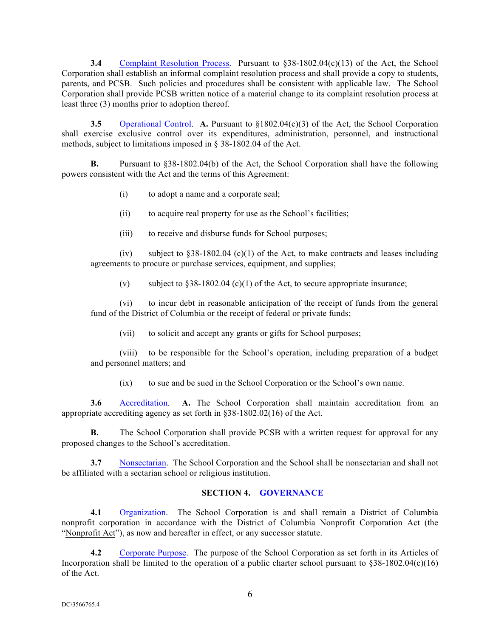**3.4** Complaint Resolution Process. Pursuant to \$38-1802.04(c)(13) of the Act, the School Corporation shall establish an informal complaint resolution process and shall provide a copy to students, parents, and PCSB. Such policies and procedures shall be consistent with applicable law. The School Corporation shall provide PCSB written notice of a material change to its complaint resolution process at least three (3) months prior to adoption thereof.

**3.5** Operational Control. **A.** Pursuant to §1802.04(c)(3) of the Act, the School Corporation shall exercise exclusive control over its expenditures, administration, personnel, and instructional methods, subject to limitations imposed in § 38-1802.04 of the Act.

**B.** Pursuant to §38-1802.04(b) of the Act, the School Corporation shall have the following powers consistent with the Act and the terms of this Agreement:

- (i) to adopt a name and a corporate seal;
- (ii) to acquire real property for use as the School's facilities;
- (iii) to receive and disburse funds for School purposes;

(iv) subject to  $\S 38-1802.04$  (c)(1) of the Act, to make contracts and leases including agreements to procure or purchase services, equipment, and supplies;

(v) subject to  $§38-1802.04$  (c)(1) of the Act, to secure appropriate insurance;

(vi) to incur debt in reasonable anticipation of the receipt of funds from the general fund of the District of Columbia or the receipt of federal or private funds;

(vii) to solicit and accept any grants or gifts for School purposes;

(viii) to be responsible for the School's operation, including preparation of a budget and personnel matters; and

(ix) to sue and be sued in the School Corporation or the School's own name.

**3.6** Accreditation. **A.** The School Corporation shall maintain accreditation from an appropriate accrediting agency as set forth in  $838-1802.02(16)$  of the Act.

**B.** The School Corporation shall provide PCSB with a written request for approval for any proposed changes to the School's accreditation.

**3.7** Nonsectarian. The School Corporation and the School shall be nonsectarian and shall not be affiliated with a sectarian school or religious institution.

#### **SECTION 4. GOVERNANCE**

**4.1** Organization. The School Corporation is and shall remain a District of Columbia nonprofit corporation in accordance with the District of Columbia Nonprofit Corporation Act (the "Nonprofit Act"), as now and hereafter in effect, or any successor statute.

**4.2** Corporate Purpose.The purpose of the School Corporation as set forth in its Articles of Incorporation shall be limited to the operation of a public charter school pursuant to  $$38-1802.04(c)(16)$ of the Act.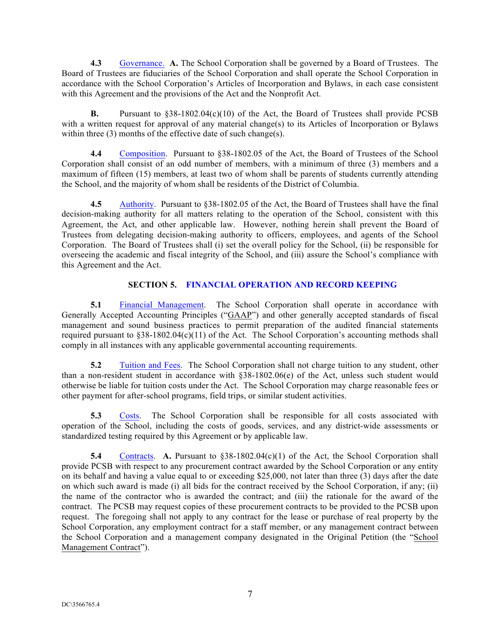**4.3** Governance. **A.** The School Corporation shall be governed by a Board of Trustees. The Board of Trustees are fiduciaries of the School Corporation and shall operate the School Corporation in accordance with the School Corporation's Articles of Incorporation and Bylaws, in each case consistent with this Agreement and the provisions of the Act and the Nonprofit Act.

**B.** Pursuant to §38-1802.04(c)(10) of the Act, the Board of Trustees shall provide PCSB with a written request for approval of any material change(s) to its Articles of Incorporation or Bylaws within three (3) months of the effective date of such change(s).

**4.4** Composition. Pursuant to §38-1802.05 of the Act, the Board of Trustees of the School Corporation shall consist of an odd number of members, with a minimum of three (3) members and a maximum of fifteen (15) members, at least two of whom shall be parents of students currently attending the School, and the majority of whom shall be residents of the District of Columbia.

**4.5** Authority. Pursuant to §38-1802.05 of the Act, the Board of Trustees shall have the final decision-making authority for all matters relating to the operation of the School, consistent with this Agreement, the Act, and other applicable law. However, nothing herein shall prevent the Board of Trustees from delegating decision-making authority to officers, employees, and agents of the School Corporation. The Board of Trustees shall (i) set the overall policy for the School, (ii) be responsible for overseeing the academic and fiscal integrity of the School, and (iii) assure the School's compliance with this Agreement and the Act.

#### **SECTION 5. FINANCIAL OPERATION AND RECORD KEEPING**

**5.1** Financial Management. The School Corporation shall operate in accordance with Generally Accepted Accounting Principles ("GAAP") and other generally accepted standards of fiscal management and sound business practices to permit preparation of the audited financial statements required pursuant to §38-1802.04(c)(11) of the Act. The School Corporation's accounting methods shall comply in all instances with any applicable governmental accounting requirements.

**5.2** Tuition and Fees. The School Corporation shall not charge tuition to any student, other than a non-resident student in accordance with §38-1802.06(e) of the Act, unless such student would otherwise be liable for tuition costs under the Act. The School Corporation may charge reasonable fees or other payment for after-school programs, field trips, or similar student activities.

**5.3** Costs. The School Corporation shall be responsible for all costs associated with operation of the School, including the costs of goods, services, and any district-wide assessments or standardized testing required by this Agreement or by applicable law.

**5.4** Contracts. **A.** Pursuant to §38-1802.04(c)(1) of the Act, the School Corporation shall provide PCSB with respect to any procurement contract awarded by the School Corporation or any entity on its behalf and having a value equal to or exceeding \$25,000, not later than three (3) days after the date on which such award is made (i) all bids for the contract received by the School Corporation, if any; (ii) the name of the contractor who is awarded the contract; and (iii) the rationale for the award of the contract. The PCSB may request copies of these procurement contracts to be provided to the PCSB upon request. The foregoing shall not apply to any contract for the lease or purchase of real property by the School Corporation, any employment contract for a staff member, or any management contract between the School Corporation and a management company designated in the Original Petition (the "School Management Contract").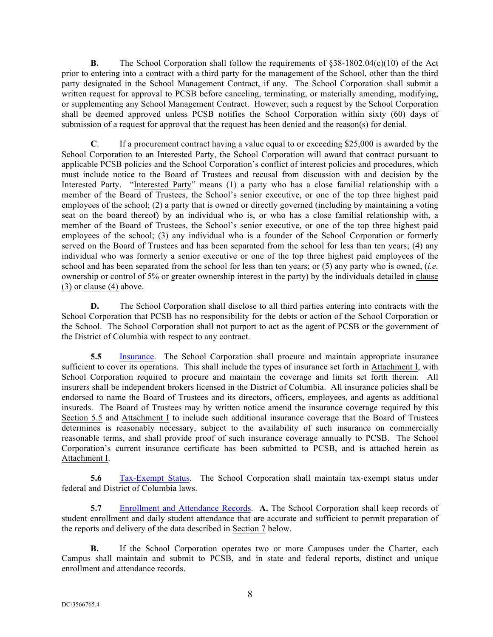**B.** The School Corporation shall follow the requirements of  $\frac{838-1802.04(c)(10)}{6}$  of the Act prior to entering into a contract with a third party for the management of the School, other than the third party designated in the School Management Contract, if any. The School Corporation shall submit a written request for approval to PCSB before canceling, terminating, or materially amending, modifying, or supplementing any School Management Contract. However, such a request by the School Corporation shall be deemed approved unless PCSB notifies the School Corporation within sixty (60) days of submission of a request for approval that the request has been denied and the reason(s) for denial.

**C**. If a procurement contract having a value equal to or exceeding \$25,000 is awarded by the School Corporation to an Interested Party, the School Corporation will award that contract pursuant to applicable PCSB policies and the School Corporation's conflict of interest policies and procedures, which must include notice to the Board of Trustees and recusal from discussion with and decision by the Interested Party. "Interested Party" means (1) a party who has a close familial relationship with a member of the Board of Trustees, the School's senior executive, or one of the top three highest paid employees of the school; (2) a party that is owned or directly governed (including by maintaining a voting seat on the board thereof) by an individual who is, or who has a close familial relationship with, a member of the Board of Trustees, the School's senior executive, or one of the top three highest paid employees of the school; (3) any individual who is a founder of the School Corporation or formerly served on the Board of Trustees and has been separated from the school for less than ten years; (4) any individual who was formerly a senior executive or one of the top three highest paid employees of the school and has been separated from the school for less than ten years; or (5) any party who is owned, (*i.e.* ownership or control of 5% or greater ownership interest in the party) by the individuals detailed in clause (3) or clause (4) above.

**D.** The School Corporation shall disclose to all third parties entering into contracts with the School Corporation that PCSB has no responsibility for the debts or action of the School Corporation or the School. The School Corporation shall not purport to act as the agent of PCSB or the government of the District of Columbia with respect to any contract.

**5.5** Insurance. The School Corporation shall procure and maintain appropriate insurance sufficient to cover its operations. This shall include the types of insurance set forth in Attachment I, with School Corporation required to procure and maintain the coverage and limits set forth therein. All insurers shall be independent brokers licensed in the District of Columbia. All insurance policies shall be endorsed to name the Board of Trustees and its directors, officers, employees, and agents as additional insureds. The Board of Trustees may by written notice amend the insurance coverage required by this Section 5.5 and Attachment I to include such additional insurance coverage that the Board of Trustees determines is reasonably necessary, subject to the availability of such insurance on commercially reasonable terms, and shall provide proof of such insurance coverage annually to PCSB. The School Corporation's current insurance certificate has been submitted to PCSB, and is attached herein as Attachment I.

**5.6** Tax-Exempt Status.The School Corporation shall maintain tax-exempt status under federal and District of Columbia laws.

**5.7** Enrollment and Attendance Records. **A.** The School Corporation shall keep records of student enrollment and daily student attendance that are accurate and sufficient to permit preparation of the reports and delivery of the data described in Section 7 below.

**B.** If the School Corporation operates two or more Campuses under the Charter, each Campus shall maintain and submit to PCSB, and in state and federal reports, distinct and unique enrollment and attendance records.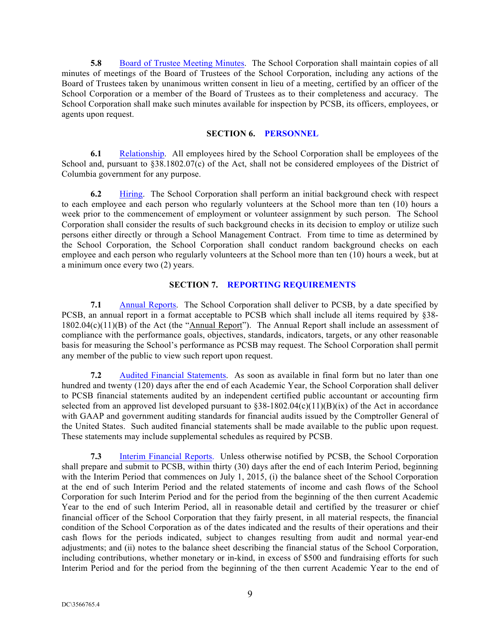**5.8** Board of Trustee Meeting Minutes. The School Corporation shall maintain copies of all minutes of meetings of the Board of Trustees of the School Corporation, including any actions of the Board of Trustees taken by unanimous written consent in lieu of a meeting, certified by an officer of the School Corporation or a member of the Board of Trustees as to their completeness and accuracy. The School Corporation shall make such minutes available for inspection by PCSB, its officers, employees, or agents upon request.

#### **SECTION 6. PERSONNEL**

**6.1** Relationship. All employees hired by the School Corporation shall be employees of the School and, pursuant to §38.1802.07(c) of the Act, shall not be considered employees of the District of Columbia government for any purpose.

**6.2** Hiring. The School Corporation shall perform an initial background check with respect to each employee and each person who regularly volunteers at the School more than ten (10) hours a week prior to the commencement of employment or volunteer assignment by such person. The School Corporation shall consider the results of such background checks in its decision to employ or utilize such persons either directly or through a School Management Contract. From time to time as determined by the School Corporation, the School Corporation shall conduct random background checks on each employee and each person who regularly volunteers at the School more than ten (10) hours a week, but at a minimum once every two (2) years.

#### **SECTION 7. REPORTING REQUIREMENTS**

**7.1** Annual Reports. The School Corporation shall deliver to PCSB, by a date specified by PCSB, an annual report in a format acceptable to PCSB which shall include all items required by §38- 1802.04(c)(11)(B) of the Act (the "Annual Report"). The Annual Report shall include an assessment of compliance with the performance goals, objectives, standards, indicators, targets, or any other reasonable basis for measuring the School's performance as PCSB may request. The School Corporation shall permit any member of the public to view such report upon request.

**7.2** Audited Financial Statements. As soon as available in final form but no later than one hundred and twenty (120) days after the end of each Academic Year, the School Corporation shall deliver to PCSB financial statements audited by an independent certified public accountant or accounting firm selected from an approved list developed pursuant to  $\S 38{\text -}1802.04(c)(11)(B)(ix)$  of the Act in accordance with GAAP and government auditing standards for financial audits issued by the Comptroller General of the United States. Such audited financial statements shall be made available to the public upon request. These statements may include supplemental schedules as required by PCSB.

**7.3** Interim Financial Reports. Unless otherwise notified by PCSB, the School Corporation shall prepare and submit to PCSB, within thirty (30) days after the end of each Interim Period, beginning with the Interim Period that commences on July 1, 2015, (i) the balance sheet of the School Corporation at the end of such Interim Period and the related statements of income and cash flows of the School Corporation for such Interim Period and for the period from the beginning of the then current Academic Year to the end of such Interim Period, all in reasonable detail and certified by the treasurer or chief financial officer of the School Corporation that they fairly present, in all material respects, the financial condition of the School Corporation as of the dates indicated and the results of their operations and their cash flows for the periods indicated, subject to changes resulting from audit and normal year-end adjustments; and (ii) notes to the balance sheet describing the financial status of the School Corporation, including contributions, whether monetary or in-kind, in excess of \$500 and fundraising efforts for such Interim Period and for the period from the beginning of the then current Academic Year to the end of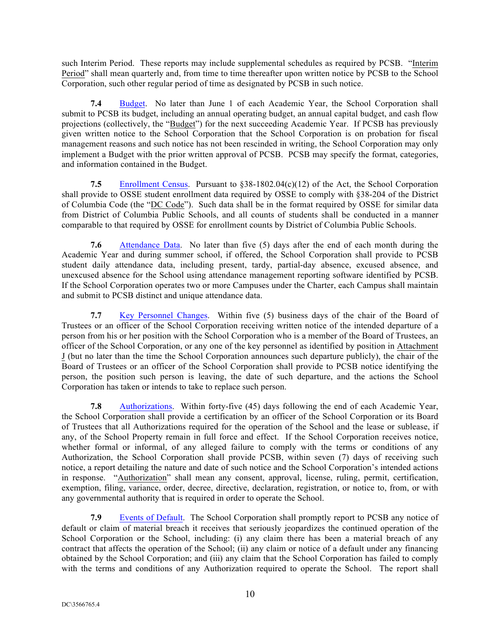such Interim Period. These reports may include supplemental schedules as required by PCSB. "Interim Period" shall mean quarterly and, from time to time thereafter upon written notice by PCSB to the School Corporation, such other regular period of time as designated by PCSB in such notice.

**7.4** Budget. No later than June 1 of each Academic Year, the School Corporation shall submit to PCSB its budget, including an annual operating budget, an annual capital budget, and cash flow projections (collectively, the "Budget") for the next succeeding Academic Year. If PCSB has previously given written notice to the School Corporation that the School Corporation is on probation for fiscal management reasons and such notice has not been rescinded in writing, the School Corporation may only implement a Budget with the prior written approval of PCSB. PCSB may specify the format, categories, and information contained in the Budget.

**7.5** Enrollment Census.Pursuant to §38-1802.04(c)(12) of the Act, the School Corporation shall provide to OSSE student enrollment data required by OSSE to comply with §38-204 of the District of Columbia Code (the "DC Code"). Such data shall be in the format required by OSSE for similar data from District of Columbia Public Schools, and all counts of students shall be conducted in a manner comparable to that required by OSSE for enrollment counts by District of Columbia Public Schools.

**7.6** Attendance Data. No later than five (5) days after the end of each month during the Academic Year and during summer school, if offered, the School Corporation shall provide to PCSB student daily attendance data, including present, tardy, partial-day absence, excused absence, and unexcused absence for the School using attendance management reporting software identified by PCSB. If the School Corporation operates two or more Campuses under the Charter, each Campus shall maintain and submit to PCSB distinct and unique attendance data.

**7.7** Key Personnel Changes. Within five (5) business days of the chair of the Board of Trustees or an officer of the School Corporation receiving written notice of the intended departure of a person from his or her position with the School Corporation who is a member of the Board of Trustees, an officer of the School Corporation, or any one of the key personnel as identified by position in Attachment J (but no later than the time the School Corporation announces such departure publicly), the chair of the Board of Trustees or an officer of the School Corporation shall provide to PCSB notice identifying the person, the position such person is leaving, the date of such departure, and the actions the School Corporation has taken or intends to take to replace such person.

**7.8** Authorizations. Within forty-five (45) days following the end of each Academic Year, the School Corporation shall provide a certification by an officer of the School Corporation or its Board of Trustees that all Authorizations required for the operation of the School and the lease or sublease, if any, of the School Property remain in full force and effect. If the School Corporation receives notice, whether formal or informal, of any alleged failure to comply with the terms or conditions of any Authorization, the School Corporation shall provide PCSB, within seven (7) days of receiving such notice, a report detailing the nature and date of such notice and the School Corporation's intended actions in response. "Authorization" shall mean any consent, approval, license, ruling, permit, certification, exemption, filing, variance, order, decree, directive, declaration, registration, or notice to, from, or with any governmental authority that is required in order to operate the School.

**7.9** Events of Default. The School Corporation shall promptly report to PCSB any notice of default or claim of material breach it receives that seriously jeopardizes the continued operation of the School Corporation or the School, including: (i) any claim there has been a material breach of any contract that affects the operation of the School; (ii) any claim or notice of a default under any financing obtained by the School Corporation; and (iii) any claim that the School Corporation has failed to comply with the terms and conditions of any Authorization required to operate the School. The report shall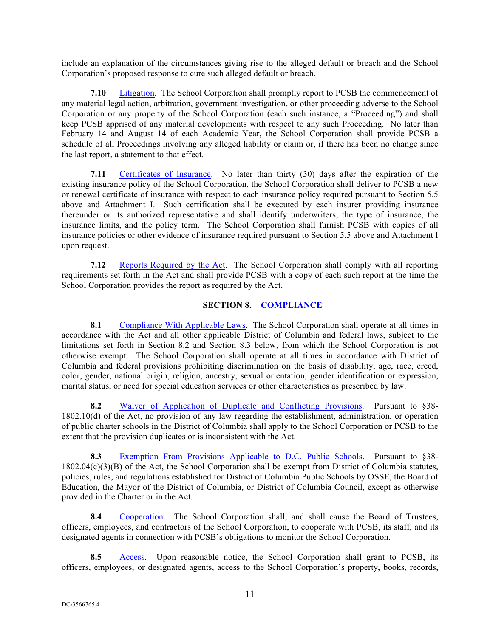include an explanation of the circumstances giving rise to the alleged default or breach and the School Corporation's proposed response to cure such alleged default or breach.

**7.10** Litigation. The School Corporation shall promptly report to PCSB the commencement of any material legal action, arbitration, government investigation, or other proceeding adverse to the School Corporation or any property of the School Corporation (each such instance, a "Proceeding") and shall keep PCSB apprised of any material developments with respect to any such Proceeding. No later than February 14 and August 14 of each Academic Year, the School Corporation shall provide PCSB a schedule of all Proceedings involving any alleged liability or claim or, if there has been no change since the last report, a statement to that effect.

**7.11** Certificates of Insurance. No later than thirty (30) days after the expiration of the existing insurance policy of the School Corporation, the School Corporation shall deliver to PCSB a new or renewal certificate of insurance with respect to each insurance policy required pursuant to Section 5.5 above and Attachment I. Such certification shall be executed by each insurer providing insurance thereunder or its authorized representative and shall identify underwriters, the type of insurance, the insurance limits, and the policy term. The School Corporation shall furnish PCSB with copies of all insurance policies or other evidence of insurance required pursuant to Section 5.5 above and Attachment I upon request.

**7.12** Reports Required by the Act. The School Corporation shall comply with all reporting requirements set forth in the Act and shall provide PCSB with a copy of each such report at the time the School Corporation provides the report as required by the Act.

#### **SECTION 8. COMPLIANCE**

**8.1** Compliance With Applicable Laws. The School Corporation shall operate at all times in accordance with the Act and all other applicable District of Columbia and federal laws, subject to the limitations set forth in Section 8.2 and Section 8.3 below, from which the School Corporation is not otherwise exempt. The School Corporation shall operate at all times in accordance with District of Columbia and federal provisions prohibiting discrimination on the basis of disability, age, race, creed, color, gender, national origin, religion, ancestry, sexual orientation, gender identification or expression, marital status, or need for special education services or other characteristics as prescribed by law.

**8.2** Waiver of Application of Duplicate and Conflicting Provisions. Pursuant to §38-1802.10(d) of the Act, no provision of any law regarding the establishment, administration, or operation of public charter schools in the District of Columbia shall apply to the School Corporation or PCSB to the extent that the provision duplicates or is inconsistent with the Act.

**8.3** Exemption From Provisions Applicable to D.C. Public Schools. Pursuant to §38- 1802.04(c)(3)(B) of the Act, the School Corporation shall be exempt from District of Columbia statutes, policies, rules, and regulations established for District of Columbia Public Schools by OSSE, the Board of Education, the Mayor of the District of Columbia, or District of Columbia Council, except as otherwise provided in the Charter or in the Act.

**8.4** Cooperation. The School Corporation shall, and shall cause the Board of Trustees, officers, employees, and contractors of the School Corporation, to cooperate with PCSB, its staff, and its designated agents in connection with PCSB's obligations to monitor the School Corporation.

**8.5** Access. Upon reasonable notice, the School Corporation shall grant to PCSB, its officers, employees, or designated agents, access to the School Corporation's property, books, records,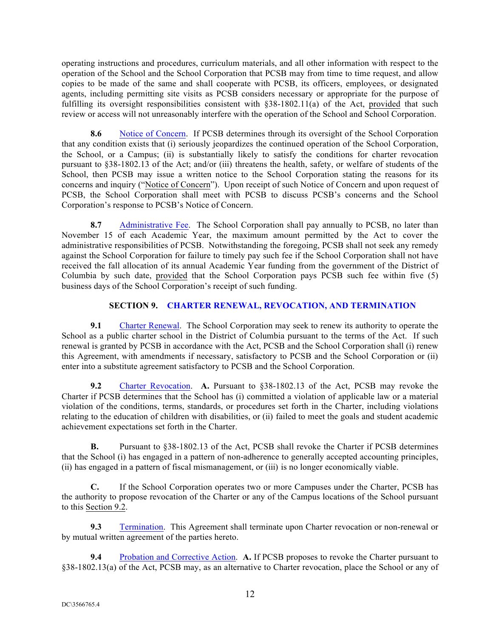operating instructions and procedures, curriculum materials, and all other information with respect to the operation of the School and the School Corporation that PCSB may from time to time request, and allow copies to be made of the same and shall cooperate with PCSB, its officers, employees, or designated agents, including permitting site visits as PCSB considers necessary or appropriate for the purpose of fulfilling its oversight responsibilities consistent with §38-1802.11(a) of the Act, provided that such review or access will not unreasonably interfere with the operation of the School and School Corporation.

**8.6** Notice of Concern.If PCSB determines through its oversight of the School Corporation that any condition exists that (i) seriously jeopardizes the continued operation of the School Corporation, the School, or a Campus; (ii) is substantially likely to satisfy the conditions for charter revocation pursuant to §38-1802.13 of the Act; and/or (iii) threatens the health, safety, or welfare of students of the School, then PCSB may issue a written notice to the School Corporation stating the reasons for its concerns and inquiry ("Notice of Concern"). Upon receipt of such Notice of Concern and upon request of PCSB, the School Corporation shall meet with PCSB to discuss PCSB's concerns and the School Corporation's response to PCSB's Notice of Concern.

8.7 Administrative Fee. The School Corporation shall pay annually to PCSB, no later than November 15 of each Academic Year, the maximum amount permitted by the Act to cover the administrative responsibilities of PCSB. Notwithstanding the foregoing, PCSB shall not seek any remedy against the School Corporation for failure to timely pay such fee if the School Corporation shall not have received the fall allocation of its annual Academic Year funding from the government of the District of Columbia by such date, provided that the School Corporation pays PCSB such fee within five (5) business days of the School Corporation's receipt of such funding.

# **SECTION 9. CHARTER RENEWAL, REVOCATION, AND TERMINATION**

**9.1** Charter Renewal. The School Corporation may seek to renew its authority to operate the School as a public charter school in the District of Columbia pursuant to the terms of the Act. If such renewal is granted by PCSB in accordance with the Act, PCSB and the School Corporation shall (i) renew this Agreement, with amendments if necessary, satisfactory to PCSB and the School Corporation or (ii) enter into a substitute agreement satisfactory to PCSB and the School Corporation.

**9.2** Charter Revocation. **A.** Pursuant to §38-1802.13 of the Act, PCSB may revoke the Charter if PCSB determines that the School has (i) committed a violation of applicable law or a material violation of the conditions, terms, standards, or procedures set forth in the Charter, including violations relating to the education of children with disabilities, or (ii) failed to meet the goals and student academic achievement expectations set forth in the Charter.

**B.** Pursuant to §38-1802.13 of the Act, PCSB shall revoke the Charter if PCSB determines that the School (i) has engaged in a pattern of non-adherence to generally accepted accounting principles, (ii) has engaged in a pattern of fiscal mismanagement, or (iii) is no longer economically viable.

**C.** If the School Corporation operates two or more Campuses under the Charter, PCSB has the authority to propose revocation of the Charter or any of the Campus locations of the School pursuant to this Section 9.2.

**9.3** Termination. This Agreement shall terminate upon Charter revocation or non-renewal or by mutual written agreement of the parties hereto.

**9.4** Probation and Corrective Action. **A.** If PCSB proposes to revoke the Charter pursuant to §38-1802.13(a) of the Act, PCSB may, as an alternative to Charter revocation, place the School or any of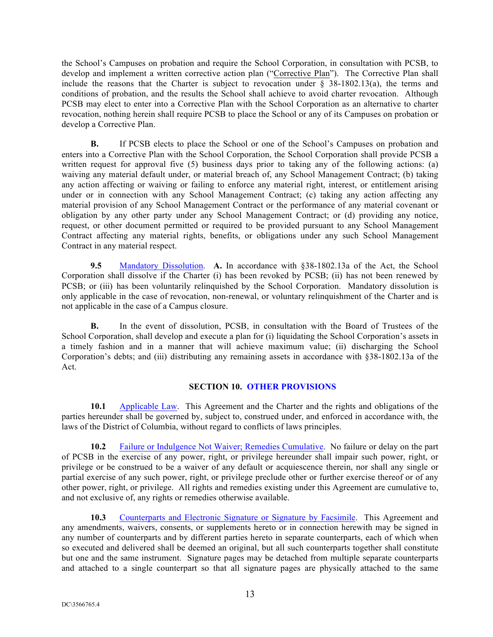the School's Campuses on probation and require the School Corporation, in consultation with PCSB, to develop and implement a written corrective action plan ("Corrective Plan"). The Corrective Plan shall include the reasons that the Charter is subject to revocation under  $\S$  38-1802.13(a), the terms and conditions of probation, and the results the School shall achieve to avoid charter revocation. Although PCSB may elect to enter into a Corrective Plan with the School Corporation as an alternative to charter revocation, nothing herein shall require PCSB to place the School or any of its Campuses on probation or develop a Corrective Plan.

**B.** If PCSB elects to place the School or one of the School's Campuses on probation and enters into a Corrective Plan with the School Corporation, the School Corporation shall provide PCSB a written request for approval five (5) business days prior to taking any of the following actions: (a) waiving any material default under, or material breach of, any School Management Contract; (b) taking any action affecting or waiving or failing to enforce any material right, interest, or entitlement arising under or in connection with any School Management Contract; (c) taking any action affecting any material provision of any School Management Contract or the performance of any material covenant or obligation by any other party under any School Management Contract; or (d) providing any notice, request, or other document permitted or required to be provided pursuant to any School Management Contract affecting any material rights, benefits, or obligations under any such School Management Contract in any material respect.

**9.5** Mandatory Dissolution. **A.** In accordance with §38-1802.13a of the Act, the School Corporation shall dissolve if the Charter (i) has been revoked by PCSB; (ii) has not been renewed by PCSB; or (iii) has been voluntarily relinquished by the School Corporation. Mandatory dissolution is only applicable in the case of revocation, non-renewal, or voluntary relinquishment of the Charter and is not applicable in the case of a Campus closure.

**B.** In the event of dissolution, PCSB, in consultation with the Board of Trustees of the School Corporation, shall develop and execute a plan for (i) liquidating the School Corporation's assets in a timely fashion and in a manner that will achieve maximum value; (ii) discharging the School Corporation's debts; and (iii) distributing any remaining assets in accordance with §38-1802.13a of the Act.

## **SECTION 10. OTHER PROVISIONS**

**10.1** Applicable Law. This Agreement and the Charter and the rights and obligations of the parties hereunder shall be governed by, subject to, construed under, and enforced in accordance with, the laws of the District of Columbia, without regard to conflicts of laws principles.

**10.2** Failure or Indulgence Not Waiver; Remedies Cumulative. No failure or delay on the part of PCSB in the exercise of any power, right, or privilege hereunder shall impair such power, right, or privilege or be construed to be a waiver of any default or acquiescence therein, nor shall any single or partial exercise of any such power, right, or privilege preclude other or further exercise thereof or of any other power, right, or privilege. All rights and remedies existing under this Agreement are cumulative to, and not exclusive of, any rights or remedies otherwise available.

**10.3** Counterparts and Electronic Signature or Signature by Facsimile. This Agreement and any amendments, waivers, consents, or supplements hereto or in connection herewith may be signed in any number of counterparts and by different parties hereto in separate counterparts, each of which when so executed and delivered shall be deemed an original, but all such counterparts together shall constitute but one and the same instrument. Signature pages may be detached from multiple separate counterparts and attached to a single counterpart so that all signature pages are physically attached to the same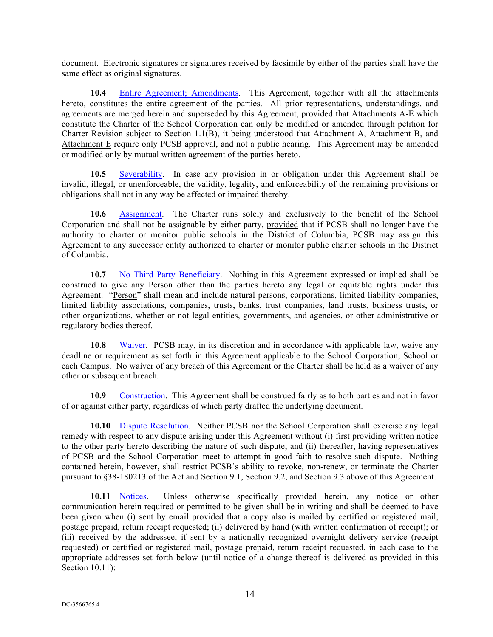document. Electronic signatures or signatures received by facsimile by either of the parties shall have the same effect as original signatures.

**10.4** Entire Agreement; Amendments. This Agreement, together with all the attachments hereto, constitutes the entire agreement of the parties. All prior representations, understandings, and agreements are merged herein and superseded by this Agreement, provided that Attachments A-E which constitute the Charter of the School Corporation can only be modified or amended through petition for Charter Revision subject to Section 1.1(B), it being understood that Attachment A, Attachment B, and Attachment E require only PCSB approval, and not a public hearing. This Agreement may be amended or modified only by mutual written agreement of the parties hereto.

**10.5** Severability. In case any provision in or obligation under this Agreement shall be invalid, illegal, or unenforceable, the validity, legality, and enforceability of the remaining provisions or obligations shall not in any way be affected or impaired thereby.

**10.6** Assignment. The Charter runs solely and exclusively to the benefit of the School Corporation and shall not be assignable by either party, provided that if PCSB shall no longer have the authority to charter or monitor public schools in the District of Columbia, PCSB may assign this Agreement to any successor entity authorized to charter or monitor public charter schools in the District of Columbia.

**10.7** No Third Party Beneficiary. Nothing in this Agreement expressed or implied shall be construed to give any Person other than the parties hereto any legal or equitable rights under this Agreement. "Person" shall mean and include natural persons, corporations, limited liability companies, limited liability associations, companies, trusts, banks, trust companies, land trusts, business trusts, or other organizations, whether or not legal entities, governments, and agencies, or other administrative or regulatory bodies thereof.

**10.8** Waiver. PCSB may, in its discretion and in accordance with applicable law, waive any deadline or requirement as set forth in this Agreement applicable to the School Corporation, School or each Campus. No waiver of any breach of this Agreement or the Charter shall be held as a waiver of any other or subsequent breach.

**10.9** Construction. This Agreement shall be construed fairly as to both parties and not in favor of or against either party, regardless of which party drafted the underlying document.

**10.10** Dispute Resolution. Neither PCSB nor the School Corporation shall exercise any legal remedy with respect to any dispute arising under this Agreement without (i) first providing written notice to the other party hereto describing the nature of such dispute; and (ii) thereafter, having representatives of PCSB and the School Corporation meet to attempt in good faith to resolve such dispute. Nothing contained herein, however, shall restrict PCSB's ability to revoke, non-renew, or terminate the Charter pursuant to §38-180213 of the Act and Section 9.1, Section 9.2, and Section 9.3 above of this Agreement.

**10.11** Notices. Unless otherwise specifically provided herein, any notice or other communication herein required or permitted to be given shall be in writing and shall be deemed to have been given when (i) sent by email provided that a copy also is mailed by certified or registered mail, postage prepaid, return receipt requested; (ii) delivered by hand (with written confirmation of receipt); or (iii) received by the addressee, if sent by a nationally recognized overnight delivery service (receipt requested) or certified or registered mail, postage prepaid, return receipt requested, in each case to the appropriate addresses set forth below (until notice of a change thereof is delivered as provided in this Section 10.11):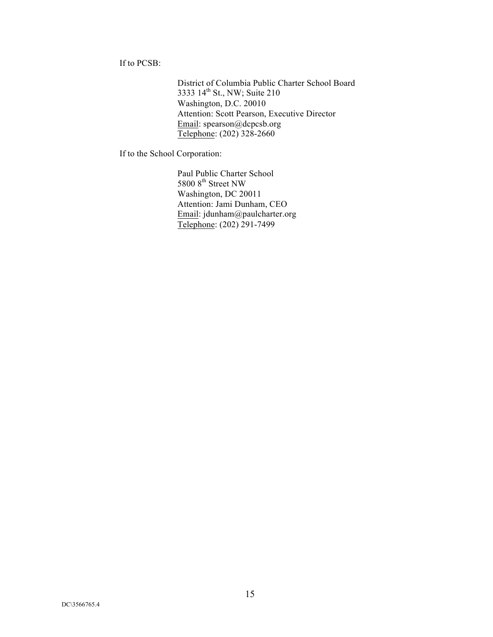If to PCSB:

District of Columbia Public Charter School Board 3333 14<sup>th</sup> St., NW; Suite 210 Washington, D.C. 20010 Attention: Scott Pearson, Executive Director Email: spearson@dcpcsb.org Telephone: (202) 328-2660

If to the School Corporation:

Paul Public Charter School 5800 8<sup>th</sup> Street NW Washington, DC 20011 Attention: Jami Dunham, CEO Email: jdunham@paulcharter.org Telephone: (202) 291-7499